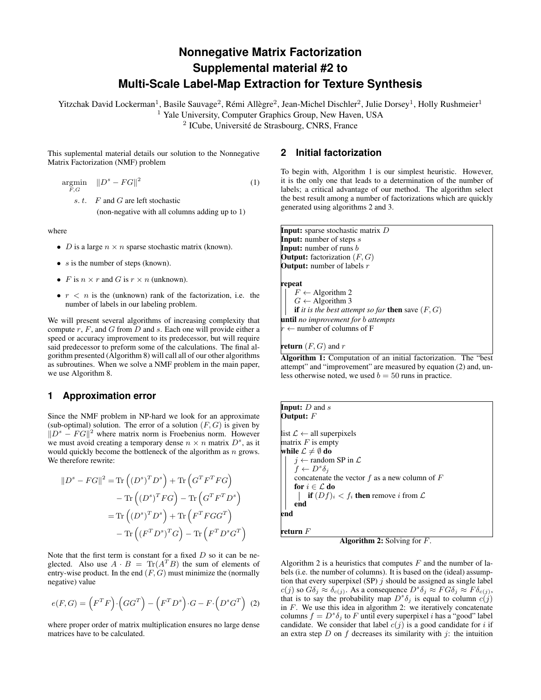# **Nonnegative Matrix Factorization Supplemental material #2 to Multi-Scale Label-Map Extraction for Texture Synthesis**

Yitzchak David Lockerman<sup>1</sup>, Basile Sauvage<sup>2</sup>, Rémi Allègre<sup>2</sup>, Jean-Michel Dischler<sup>2</sup>, Julie Dorsey<sup>1</sup>, Holly Rushmeier<sup>1</sup>

<sup>1</sup> Yale University, Computer Graphics Group, New Haven, USA

<sup>2</sup> ICube, Université de Strasbourg, CNRS, France

This suplemental material details our solution to the Nonnegative Matrix Factorization (NMF) problem

 $\operatorname*{argmin}_{F,G} \quad \|D^s - FG\|^2$ (1)

s. t. F and G are left stochastic

(non-negative with all columns adding up to 1)

where

- *D* is a large  $n \times n$  sparse stochastic matrix (known).
- $s$  is the number of steps (known).
- F is  $n \times r$  and G is  $r \times n$  (unknown).
- $r < n$  is the (unknown) rank of the factorization, i.e. the number of labels in our labeling problem.

We will present several algorithms of increasing complexity that compute  $r$ ,  $F$ , and  $G$  from  $D$  and  $s$ . Each one will provide either a speed or accuracy improvement to its predecessor, but will require said predecessor to preform some of the calculations. The final algorithm presented (Algorithm [8\)](#page-3-0) will call all of our other algorithms as subroutines. When we solve a NMF problem in the main paper, we use Algorithm [8.](#page-3-0)

## **1 Approximation error**

Since the NMF problem in NP-hard we look for an approximate (sub-optimal) solution. The error of a solution  $(F, G)$  is given by  $||D^s - FG||^2$  where matrix norm is Froebenius norm. However we must avoid creating a temporary dense  $n \times n$  matrix  $D^s$ , as it would quickly become the bottleneck of the algorithm as  $n$  grows. We therefore rewrite:

$$
||D^s - FG||^2 = \text{Tr}((D^s)^T D^s) + \text{Tr}(G^T F^T FG)
$$
  
- 
$$
-\text{Tr}((D^s)^T FG) - \text{Tr}(G^T F^T D^s)
$$
  
= 
$$
\text{Tr}((D^s)^T D^s) + \text{Tr}(F^T F G G^T)
$$
  
- 
$$
\text{Tr}((F^T D^s)^T G) - \text{Tr}(F^T D^s G^T)
$$

Note that the first term is constant for a fixed  $D$  so it can be neglected. Also use  $A \cdot B = \text{Tr}(A^T B)$  the sum of elements of entry-wise product. In the end  $(F, G)$  must minimize the (normally negative) value

<span id="page-0-2"></span>
$$
e(F, G) = \left(F^T F\right) \cdot \left(GG^T\right) - \left(F^T D^s\right) \cdot G - F \cdot \left(D^s G^T\right) (2)
$$

where proper order of matrix multiplication ensures no large dense matrices have to be calculated.

## **2 Initial factorization**

To begin with, Algorithm [1](#page-0-0) is our simplest heuristic. However, it is the only one that leads to a determination of the number of labels; a critical advantage of our method. The algorithm select the best result among a number of factorizations which are quickly generated using algorithms [2](#page-0-1) and [3.](#page-1-0)

Input: sparse stochastic matrix D **Input:** number of steps  $s$ **Input:** number of runs  $b$ **Output:** factorization  $(F, G)$ **Output:** number of labels  $r$ 

#### repeat

 $F \leftarrow$  Algorithm [2](#page-0-1)  $G \leftarrow$  Algorithm [3](#page-1-0) **if** *it is the best attempt so far* **then** save  $(F, G)$ until *no improvement for* b *attempts*  $\leftarrow$  number of columns of F

**return**  $(F, G)$  and r

<span id="page-0-0"></span>Algorithm 1: Computation of an initial factorization. The "best attempt" and "improvement" are measured by equation [\(2\)](#page-0-2) and, unless otherwise noted, we used  $b = 50$  runs in practice.

| <b>Input:</b> $D$ and $s$<br>Output: $F$                             |
|----------------------------------------------------------------------|
| list $\mathcal{L} \leftarrow$ all superpixels<br>matrix $F$ is empty |
| while $\mathcal{L} \neq \emptyset$ do                                |
| $i \leftarrow$ random SP in $\mathcal{L}$                            |
| $f \leftarrow D^s \delta_i$                                          |
| concatenate the vector f as a new column of $F$                      |
| for $i \in \mathcal{L}$ do                                           |
| <b>if</b> $(Df)_i < f_i$ then remove i from $\mathcal{L}$            |
| end                                                                  |
| end                                                                  |

return  $\overline{F}$ 

<span id="page-0-1"></span>Algorithm 2: Solving for F.

Algorithm [2](#page-0-1) is a heuristics that computes  $F$  and the number of labels (i.e. the number of columns). It is based on the (ideal) assumption that every superpixel (SP)  $j$  should be assigned as single label  $c(j)$  so  $G\delta_j \approx \delta_{c(j)}$ . As a consequence  $D^s \delta_j \approx FG \delta_j \approx F \delta_{c(j)}$ , that is to say the probability map  $D^s \delta_j$  is equal to column  $c(j)$ in  $F$ . We use this idea in algorithm [2:](#page-0-1) we iteratively concatenate columns  $f = D^s \delta_j$  to F until every superpixel i has a "good" label candidate. We consider that label  $c(j)$  is a good candidate for i if an extra step  $D$  on  $f$  decreases its similarity with  $\dot{\gamma}$ : the intuition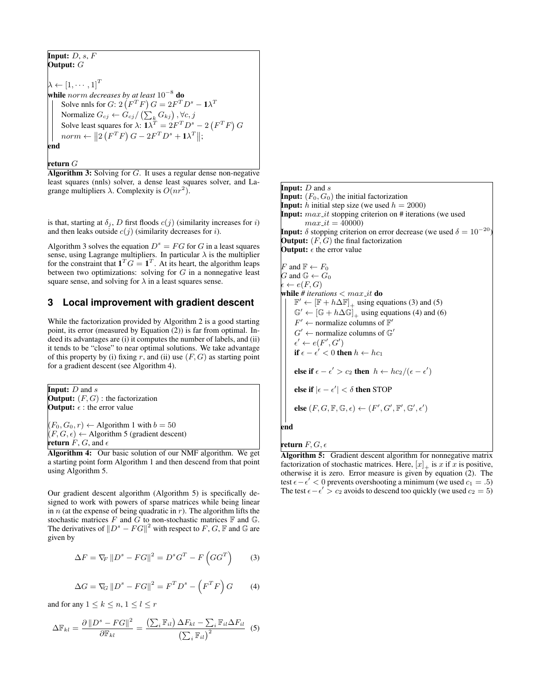Input:  $D, s, F$ Output:  $G$  $\lambda \leftarrow [1, \cdots, 1]^T$ while norm *decreases by at least* 10<sup>−</sup><sup>8</sup> do Solve nnls for G: 2  $(F^T F) G = 2F^T D^s - \mathbf{1}\lambda^T$ Normalize  $G_{cj} \leftarrow G_{cj} / \left( \sum_k G_{kj} \right), \forall c, j$ Solve least squares for  $\lambda$ :  $1\lambda^T = 2F^T D^s - 2(F^T F) G$  $norm \leftarrow ||2(F^TF)G - 2F^TD^s + \mathbf{1}\lambda^T||;$ end

### <span id="page-1-0"></span>return G

**Algorithm 3:** Solving for  $G$ . It uses a regular dense non-negative least squares (nnls) solver, a dense least squares solver, and Lagrange multipliers  $\lambda$ . Complexity is  $O(nr^2)$ .

is that, starting at  $\delta_j$ , D first floods  $c(j)$  (similarity increases for i) and then leaks outside  $c(j)$  (similarity decreases for i).

Algorithm [3](#page-1-0) solves the equation  $D^s = FG$  for G in a least squares sense, using Lagrange multipliers. In particular  $\lambda$  is the multiplier for the constraint that  $\mathbf{1}^T G = \mathbf{1}^T$ . At its heart, the algorithm leaps between two optimizations: solving for  $G$  in a nonnegative least square sense, and solving for  $\lambda$  in a least squares sense.

### **3 Local improvement with gradient descent**

While the factorization provided by Algorithm [2](#page-0-1) is a good starting point, its error (measured by Equation [\(2\)](#page-0-2)) is far from optimal. Indeed its advantages are (i) it computes the number of labels, and (ii) it tends to be "close" to near optimal solutions. We take advantage of this property by (i) fixing r, and (ii) use  $(F, G)$  as starting point for a gradient descent (see Algorithm [4\)](#page-1-1).

**Input:**  $D$  and  $s$ **Output:**  $(F, G)$  : the factorization **Output:**  $\epsilon$  : the error value

<span id="page-1-1"></span> $(F_0, G_0, r) \leftarrow$  Algorithm [1](#page-0-0) with  $b = 50$  $(F, G, \epsilon) \leftarrow$  Algorithm [5](#page-1-2) (gradient descent) return  $F, G$ , and  $\epsilon$ 

Algorithm 4: Our basic solution of our NMF algorithm. We get a starting point form Algorithm [1](#page-0-0) and then descend from that point using Algorithm [5.](#page-1-2)

Our gradient descent algorithm (Algorithm [5\)](#page-1-2) is specifically designed to work with powers of sparse matrices while being linear in  $n$  (at the expense of being quadratic in  $r$ ). The algorithm lifts the stochastic matrices F and G to non-stochastic matrices  $\mathbb F$  and  $\mathbb G$ . The derivatives of  $||D^s - FG||^2$  with respect to F, G, F and G are given by

<span id="page-1-3"></span>
$$
\Delta F = \nabla_F \left\| D^s - FG \right\|^2 = D^s G^T - F\left(GG^T\right) \tag{3}
$$

<span id="page-1-5"></span><span id="page-1-4"></span>
$$
\Delta G = \nabla_G ||D^s - FG||^2 = F^T D^s - \left(F^T F\right) G \tag{4}
$$

and for any  $1 \leq k \leq n, 1 \leq l \leq r$ 

$$
\Delta \mathbb{F}_{kl} = \frac{\partial ||D^s - FG||^2}{\partial \mathbb{F}_{kl}} = \frac{\left(\sum_i \mathbb{F}_{il}\right) \Delta F_{kl} - \sum_i \mathbb{F}_{il} \Delta F_{il}}{\left(\sum_i \mathbb{F}_{il}\right)^2} \tag{5}
$$

**Input:**  $D$  and  $s$ **Input:**  $(F_0, G_0)$  the initial factorization **Input:** h initial step size (we used  $h = 2000$ ) **Input:**  $max\_it$  stopping criterion on  $#$  iterations (we used  $max_i = 40000$ **Input:**  $\delta$  stopping criterion on error decrease (we used  $\delta = 10^{-20}$ ) **Output:**  $(F, G)$  the final factorization **Output:**  $\epsilon$  the error value

F and  $\mathbb{F} \leftarrow F_0$ G and  $\mathbb{G} \leftarrow G_0$  $\leftarrow e(F,G)$ while  $#$  *iterations*  $< max\_it$  do  $\mathbb{F}' \leftarrow [\mathbb{F} + h\Delta\mathbb{F}]_+$  using equations [\(3\)](#page-1-3) and [\(5\)](#page-1-4)  $\mathbb{G}' \leftarrow [\mathbb{G} + h\Delta\mathbb{G}]_+$  using equations [\(4\)](#page-1-5) and [\(6\)](#page-2-0)  $F' \leftarrow$  normalize columns of  $\mathbb{F}'$  $G' \leftarrow$  normalize columns of  $\mathbb{G}'$  $\epsilon' \leftarrow e(F', G')$ if  $\epsilon - \epsilon' < 0$  then  $h \leftarrow hc_1$ else if  $\epsilon - \epsilon' > c_2$  then  $h \leftarrow hc_2/(\epsilon - \epsilon')$ else if  $|\epsilon - \epsilon'| < \delta$  then STOP else  $(F, G, \mathbb{F}, \mathbb{G}, \epsilon) \leftarrow (F', G', \mathbb{F}', \mathbb{G}', \epsilon')$ end

return  $F,G,\epsilon$ 

<span id="page-1-2"></span>Algorithm 5: Gradient descent algorithm for nonnegative matrix factorization of stochastic matrices. Here,  $[x]_+$  is x if x is positive, otherwise it is zero. Error measure is given by equation [\(2\)](#page-0-2). The test  $\epsilon - \epsilon' < 0$  prevents overshooting a minimum (we used  $c_1 = .5$ ) The test  $\epsilon - \epsilon' > c_2$  avoids to descend too quickly (we used  $c_2 = 5$ )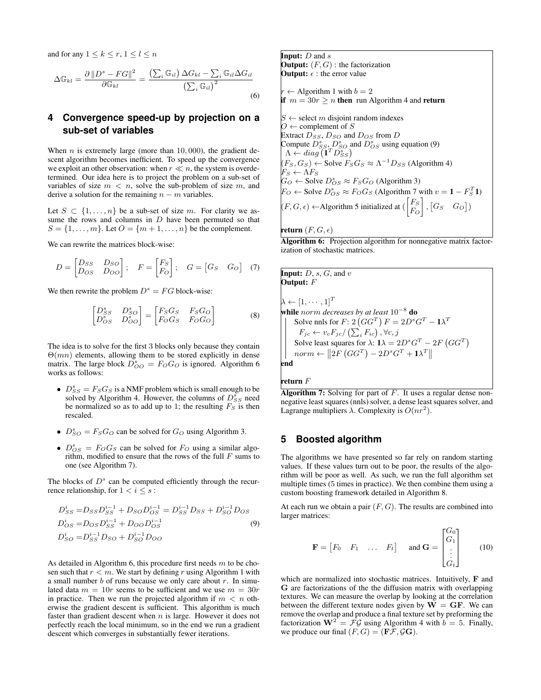and for any  $1 \leq k \leq r, 1 \leq l \leq n$ 

<span id="page-2-0"></span>
$$
\Delta \mathbb{G}_{kl} = \frac{\partial ||D^s - FG||^2}{\partial \mathbb{G}_{kl}} = \frac{\left(\sum_i \mathbb{G}_{il}\right) \Delta G_{kl} - \sum_i \mathbb{G}_{il} \Delta G_{il}}{\left(\sum_i \mathbb{G}_{il}\right)^2}
$$
\n(6)

## **4 Convergence speed-up by projection on a sub-set of variables**

When  $n$  is extremely large (more than 10,000), the gradient descent algorithm becomes inefficient. To speed up the convergence we exploit an other observation: when  $r \ll n$ , the system is overdetermined. Our idea here is to project the problem on a sub-set of variables of size  $m < n$ , solve the sub-problem of size m, and derive a solution for the remaining  $n - m$  variables.

Let  $S \subset \{1, \ldots, n\}$  be a sub-set of size m. For clarity we assume the rows and columns in  $D$  have been permuted so that  $S = \{1, \ldots, m\}$ . Let  $O = \{m+1, \ldots, n\}$  be the complement.

We can rewrite the matrices block-wise:

$$
D = \begin{bmatrix} D_{SS} & D_{SO} \\ D_{OS} & D_{OO} \end{bmatrix}; \quad F = \begin{bmatrix} F_S \\ F_O \end{bmatrix}; \quad G = \begin{bmatrix} G_S & G_O \end{bmatrix} \quad (7)
$$

We then rewrite the problem  $D^s = FG$  block-wise:

$$
\begin{bmatrix} D_{SS}^s & D_{SO}^s \\ D_{OS}^s & D_{OO}^s \end{bmatrix} = \begin{bmatrix} F_S G_S & F_S G_O \\ F_O G_S & F_O G_O \end{bmatrix}
$$
 (8)

The idea is to solve for the first 3 blocks only because they contain  $\Theta(mn)$  elements, allowing them to be stored explicitly in dense matrix. The large block  $\overline{D}_{OO}^s = F_O G_O$  is ignored. Algorithm [6](#page-2-1) works as follows:

- $D_{SS}^s = F_S G_S$  is a NMF problem which is small enough to be solved by Algorithm [4.](#page-1-1) However, the columns of  $D_{SS}^{s}$  need be normalized so as to add up to 1; the resulting  $F_S$  is then rescaled.
- $D_{SO}^s = F_S G_O$  can be solved for  $G_O$  using Algorithm [3.](#page-1-0)
- $D_{OS}^s = F_O G_S$  can be solved for  $F_O$  using a similar algorithm, modified to ensure that the rows of the full  $F$  sums to one (see Algorithm [7\)](#page-2-2).

The blocks of  $D<sup>s</sup>$  can be computed efficiently through the recurrence relationship, for  $1 < i \leq s$ :

$$
D_{SS}^{i} = D_{SS}D_{SS}^{i-1} + D_{SO}D_{OS}^{i-1} = D_{SS}^{i-1}D_{SS} + D_{SO}^{i-1}D_{OS}
$$
  
\n
$$
D_{OS}^{i} = D_{OS}D_{SS}^{i-1} + D_{OO}D_{OS}^{i-1}
$$
  
\n
$$
D_{SO}^{i} = D_{SS}^{i-1}D_{SO} + D_{SO}^{i-1}D_{OO}
$$
\n(9)

As detailed in Algorithm [6,](#page-2-1) this procedure first needs  $m$  to be chosen such that  $r < m$ . We start by defining r using Algorithm [1](#page-0-0) with a small number  $b$  of runs because we only care about  $r$ . In simulated data  $m = 10r$  seems to be sufficient and we use  $m = 30r$ in practice. Then we run the projected algorithm if  $m < n$  otherwise the gradient descent is sufficient. This algorithm is much faster than gradient descent when  $n$  is large. However it does not perfectly reach the local minimum, so in the end we run a gradient descent which converges in substantially fewer iterations.

**Input:**  $D$  and  $s$ **Output:**  $(F, G)$ : the factorization **Output:**  $\epsilon$  : the error value

 $r \leftarrow$  Algorithm [1](#page-0-0) with  $b = 2$ if  $m = 30r > n$  then run Algorithm [4](#page-1-1) and return

 $S \leftarrow$  select m disjoint random indexes  $O \leftarrow$  complement of S Extract  $D_{SS}$ ,  $D_{SO}$  and  $D_{OS}$  from  $D$ Compute  $D_{SS}^s$ ,  $D_{SO}^s$  and  $D_{OS}^s$  using equation [\(9\)](#page-2-3)  $\Lambda \leftarrow diag(\mathbf{1}^T D_{SS}^s)$  $(F_S, G_S) \leftarrow$  Solve  $F_S G_S \approx \Lambda^{-1} D_{SS}$  (Algorithm [4\)](#page-1-1)  $F_S \leftarrow \Lambda F_S$  $G_O \leftarrow$  Solve  $D_{OS}^s \approx F_S G_O$  (Algorithm [3\)](#page-1-0)  $F_O \leftarrow$  Solve  $D_{OS}^s \approx F_O G_S$  (Algorithm [7](#page-2-2) with  $v = 1 - F_S^T 1$ )  $(F, G, \epsilon) \leftarrow$ Algorithm [5](#page-1-2) initialized at  $\begin{pmatrix} F_S \\ F_S \end{pmatrix}$  $F_O$  $\bigg|, [G_S \ G_O]$ 

#### return  $(F, G, \epsilon)$

<span id="page-2-1"></span>Algorithm 6: Projection algorithm for nonnegative matrix factorization of stochastic matrices.

**Input:**  $D$ ,  $s$ ,  $G$ , and  $v$ Output: F  $\lambda \leftarrow [1, \cdots, 1]^T$ while norm *decreases by at least* 10<sup>−</sup><sup>8</sup> do Solve nnls for  $F: 2(GG^T) F = 2D^s G^T - \mathbf{1}\lambda^T$  $F_{jc} \leftarrow v_c F_{jc} / \left(\sum_i F_{ic}\right), \forall c, j$ Solve least squares for  $\lambda$ :  $1\lambda = 2D^sG^T - 2F(GG^T)$  $norm \leftarrow ||2F(GG^T) - 2D^sG^T + \mathbf{1}\lambda^T||$ end

#### return  $F$

### **5 Boosted algorithm**

The algorithms we have presented so far rely on random starting values. If these values turn out to be poor, the results of the algorithm will be poor as well. As such, we run the full algorithm set multiple times (5 times in practice). We then combine them using a custom boosting framework detailed in Algorithm [8.](#page-3-0)

<span id="page-2-3"></span>At each run we obtain a pair  $(F, G)$ . The results are combined into larger matrices:

$$
\mathbf{F} = \begin{bmatrix} F_0 & F_1 & \dots & F_t \end{bmatrix} \quad \text{and } \mathbf{G} = \begin{bmatrix} G_0 \\ G_1 \\ \vdots \\ G_t \end{bmatrix} \qquad (10)
$$

which are normalized into stochastic matrices. Intuitively, F and G are factorizations of the the diffusion matrix with overlapping textures. We can measure the overlap by looking at the correlation between the different texture nodes given by  $\overline{W} = \overline{GF}$ . We can remove the overlap and produce a final texture set by preforming the factorization  $\mathbf{W}^2 = \mathcal{F}\mathcal{G}$  using Algorithm [4](#page-1-1) with  $b = 5$ . Finally, we produce our final  $(F, G) = (\mathbf{F} \mathcal{F}, \mathcal{G} \mathbf{G}).$ 

<span id="page-2-2"></span>**Algorithm 7:** Solving for part of  $F$ . It uses a regular dense nonnegative least squares (nnls) solver, a dense least squares solver, and Lagrange multipliers  $\lambda$ . Complexity is  $O(nr^2)$ .